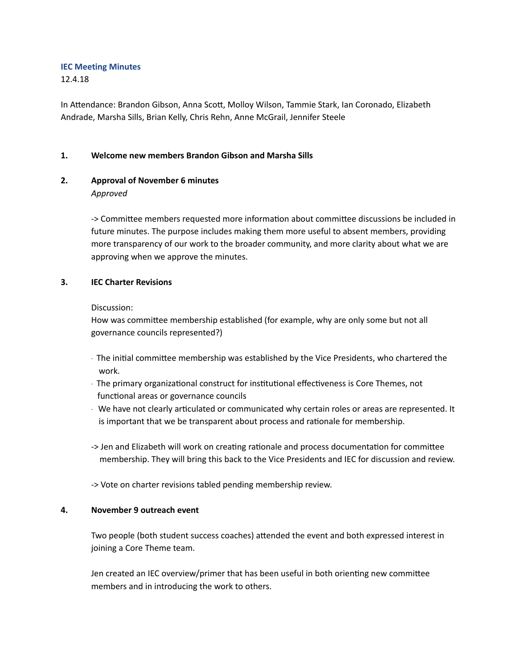### **IEC Meeting Minutes**

12.4.18

In Attendance: Brandon Gibson, Anna Scott, Molloy Wilson, Tammie Stark, Ian Coronado, Elizabeth Andrade, Marsha Sills, Brian Kelly, Chris Rehn, Anne McGrail, Jennifer Steele

## **1. Welcome new members Brandon Gibson and Marsha Sills**

## **2. Approval of November 6 minutes**

*Approved*

-> Committee members requested more information about committee discussions be included in future minutes. The purpose includes making them more useful to absent members, providing more transparency of our work to the broader community, and more clarity about what we are approving when we approve the minutes.

### **3. IEC Charter Revisions**

Discussion:

How was committee membership established (for example, why are only some but not all governance councils represented?)

- $\cdot$  The initial committee membership was established by the Vice Presidents, who chartered the work.
- $\cdot$  The primary organizational construct for institutional effectiveness is Core Themes, not functional areas or governance councils
- $\cdot$  We have not clearly articulated or communicated why certain roles or areas are represented. It is important that we be transparent about process and rationale for membership.
- -> Jen and Elizabeth will work on creating rationale and process documentation for committee membership. They will bring this back to the Vice Presidents and IEC for discussion and review.
- -> Vote on charter revisions tabled pending membership review.

## **4. November 9 outreach event**

Two people (both student success coaches) attended the event and both expressed interest in joining a Core Theme team.

Jen created an IEC overview/primer that has been useful in both orienting new committee members and in introducing the work to others.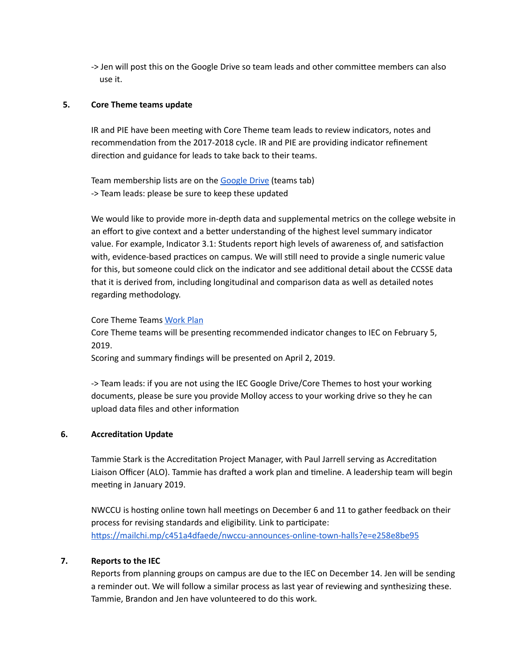-> Jen will post this on the Google Drive so team leads and other committee members can also use it.

## **5. Core Theme teams update**

IR and PIE have been meeting with Core Theme team leads to review indicators, notes and recommendation from the 2017-2018 cycle. IR and PIE are providing indicator refinement direction and guidance for leads to take back to their teams.

Team membership lists are on the [Google](https://drive.google.com/open?id=1rb5qAydXDOwWt8-pPrPo2cfzcjhNdVxuNg1hDoJHeOY) Drive (teams tab) -> Team leads: please be sure to keep these updated

We would like to provide more in-depth data and supplemental metrics on the college website in an effort to give context and a better understanding of the highest level summary indicator value. For example, Indicator 3.1: Students report high levels of awareness of, and satisfaction with, evidence-based practices on campus. We will still need to provide a single numeric value for this, but someone could click on the indicator and see additional detail about the CCSSE data that it is derived from, including longitudinal and comparison data as well as detailed notes regarding methodology.

### Core Theme Teams [Work](https://drive.google.com/open?id=1rb5qAydXDOwWt8-pPrPo2cfzcjhNdVxuNg1hDoJHeOY) Plan

Core Theme teams will be presenting recommended indicator changes to IEC on February 5, 2019.

Scoring and summary findings will be presented on April 2, 2019.

-> Team leads: if you are not using the IEC Google Drive/Core Themes to host your working documents, please be sure you provide Molloy access to your working drive so they he can upload data files and other information

#### **6. Accreditation Update**

Tammie Stark is the Accreditation Project Manager, with Paul Jarrell serving as Accreditation Liaison Officer (ALO). Tammie has drafted a work plan and timeline. A leadership team will begin meeting in January 2019.

NWCCU is hosting online town hall meetings on December 6 and 11 to gather feedback on their process for revising standards and eligibility. Link to participate[:](https://mailchi.mp/c451a4dfaede/nwccu-announces-online-town-halls?e=e258e8be95) https://mailchi.mp/c451a4dfaede/nwccu-announces-online-town-halls?e=e258e8be95

#### **7. Reports to the IEC**

Reports from planning groups on campus are due to the IEC on December 14. Jen will be sending a reminder out. We will follow a similar process as last year of reviewing and synthesizing these. Tammie, Brandon and Jen have volunteered to do this work.